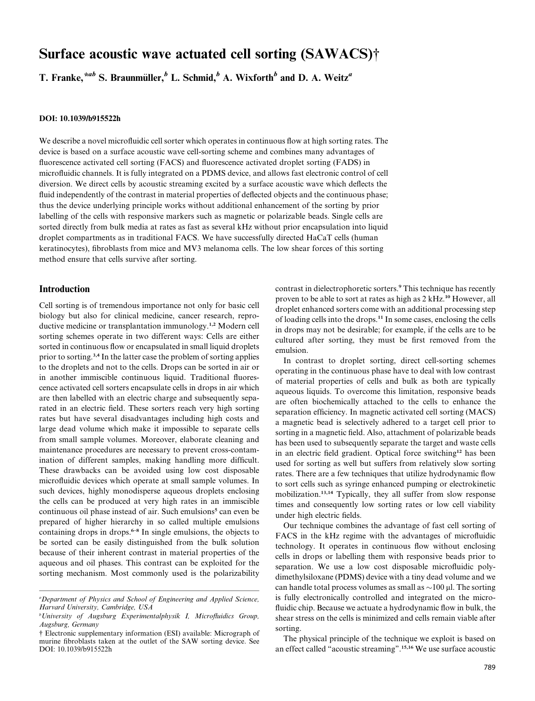# Surface acoustic wave actuated cell sorting (SAWACS)†

T. Franke, $^{*ab}$  S. Braunmüller, $^b$  L. Schmid, $^b$  A. Wixforth $^b$  and D. A. Weitz $^a$ 

## DOI: 10.1039/b915522h

We describe a novel microfluidic cell sorter which operates in continuous flow at high sorting rates. The device is based on a surface acoustic wave cell-sorting scheme and combines many advantages of fluorescence activated cell sorting (FACS) and fluorescence activated droplet sorting (FADS) in microfluidic channels. It is fully integrated on a PDMS device, and allows fast electronic control of cell diversion. We direct cells by acoustic streaming excited by a surface acoustic wave which deflects the fluid independently of the contrast in material properties of deflected objects and the continuous phase; thus the device underlying principle works without additional enhancement of the sorting by prior labelling of the cells with responsive markers such as magnetic or polarizable beads. Single cells are sorted directly from bulk media at rates as fast as several kHz without prior encapsulation into liquid droplet compartments as in traditional FACS. We have successfully directed HaCaT cells (human keratinocytes), fibroblasts from mice and MV3 melanoma cells. The low shear forces of this sorting method ensure that cells survive after sorting.

# Introduction

Cell sorting is of tremendous importance not only for basic cell biology but also for clinical medicine, cancer research, reproductive medicine or transplantation immunology. 1,2 Modern cell sorting schemes operate in two different ways: Cells are either sorted in continuous flow or encapsulated in small liquid droplets prior to sorting.<sup>3,4</sup> In the latter case the problem of sorting applies to the droplets and not to the cells. Drops can be sorted in air or in another immiscible continuous liquid. Traditional fluorescence activated cell sorters encapsulate cells in drops in air which are then labelled with an electric charge and subsequently separated in an electric field. These sorters reach very high sorting rates but have several disadvantages including high costs and large dead volume which make it impossible to separate cells from small sample volumes. Moreover, elaborate cleaning and maintenance procedures are necessary to prevent cross-contamination of different samples, making handling more difficult. These drawbacks can be avoided using low cost disposable microfluidic devices which operate at small sample volumes. In such devices, highly monodisperse aqueous droplets enclosing the cells can be produced at very high rates in an immiscible continuous oil phase instead of air. Such emulsions 5 can even be prepared of higher hierarchy in so called multiple emulsions containing drops in drops. 6–8 In single emulsions, the objects to be sorted can be easily distinguished from the bulk solution because of their inherent contrast in material properties of the aqueous and oil phases. This contrast can be exploited for the sorting mechanism. Most commonly used is the polarizability

contrast in dielectrophoretic sorters. <sup>9</sup> This technique has recently proven to be able to sort at rates as high as 2 kHz. <sup>10</sup> However, all droplet enhanced sorters come with an additional processing step of loading cells into the drops. 11 In some cases, enclosing the cells in drops may not be desirable; for example, if the cells are to be cultured after sorting, they must be first removed from the emulsion.

In contrast to droplet sorting, direct cell-sorting schemes operating in the continuous phase have to deal with low contrast of material properties of cells and bulk as both are typically aqueous liquids. To overcome this limitation, responsive beads are often biochemically attached to the cells to enhance the separation efficiency. In magnetic activated cell sorting (MACS) a magnetic bead is selectively adhered to a target cell prior to sorting in a magnetic field. Also, attachment of polarizable beads has been used to subsequently separate the target and waste cells in an electric field gradient. Optical force switching <sup>12</sup> has been used for sorting as well but suffers from relatively slow sorting rates. There are a few techniques that utilize hydrodynamic flow to sort cells such as syringe enhanced pumping or electrokinetic mobilization. 13,14 Typically, they all suffer from slow response times and consequently low sorting rates or low cell viability under high electric fields.

Our technique combines the advantage of fast cell sorting of FACS in the kHz regime with the advantages of microfluidic technology. It operates in continuous flow without enclosing cells in drops or labelling them with responsive beads prior to separation. We use a low cost disposable microfluidic polydimethylsiloxane (PDMS) device with a tiny dead volume and we can handle total process volumes as small as  $\sim$ 100  $\mu$ l. The sorting is fully electronically controlled and integrated on the microfluidic chip. Because we actuate a hydrodynamic flow in bulk, the shear stress on the cells is minimized and cells remain viable after sorting.

The physical principle of the technique we exploit is based on an effect called ''acoustic streaming''. 15,16 We use surface acoustic

<sup>&</sup>lt;sup>a</sup>Department of Physics and School of Engineering and Applied Science, Harvard University, Cambridge, USA

 $b$ University of Augsburg Experimentalphysik I, Microfluidics Group, Augsburg, Germany

<sup>†</sup> Electronic supplementary information (ESI) available: Micrograph of murine fibroblasts taken at the outlet of the SAW sorting device. See DOI: 10.1039/b915522h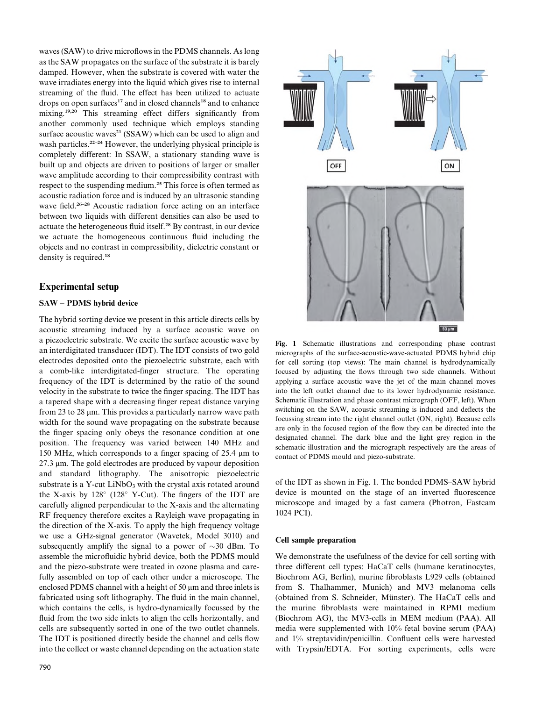waves (SAW) to drive microflows in the PDMS channels. As long as the SAW propagates on the surface of the substrate it is barely damped. However, when the substrate is covered with water the wave irradiates energy into the liquid which gives rise to internal streaming of the fluid. The effect has been utilized to actuate drops on open surfaces<sup>17</sup> and in closed channels<sup>18</sup> and to enhance mixing. 19,20 This streaming effect differs significantly from another commonly used technique which employs standing surface acoustic waves<sup>21</sup> (SSAW) which can be used to align and wash particles.<sup>22-24</sup> However, the underlying physical principle is completely different: In SSAW, a stationary standing wave is built up and objects are driven to positions of larger or smaller wave amplitude according to their compressibility contrast with respect to the suspending medium. <sup>25</sup> This force is often termed as acoustic radiation force and is induced by an ultrasonic standing wave field.<sup>26-28</sup> Acoustic radiation force acting on an interface between two liquids with different densities can also be used to actuate the heterogeneous fluid itself. <sup>28</sup> By contrast, in our device we actuate the homogeneous continuous fluid including the objects and no contrast in compressibility, dielectric constant or density is required. 18

## Experimental setup

## SAW – PDMS hybrid device

The hybrid sorting device we present in this article directs cells by acoustic streaming induced by a surface acoustic wave on a piezoelectric substrate. We excite the surface acoustic wave by an interdigitated transducer (IDT). The IDT consists of two gold electrodes deposited onto the piezoelectric substrate, each with a comb-like interdigitated-finger structure. The operating frequency of the IDT is determined by the ratio of the sound velocity in the substrate to twice the finger spacing. The IDT has a tapered shape with a decreasing finger repeat distance varying from 23 to 28  $\mu$ m. This provides a particularly narrow wave path width for the sound wave propagating on the substrate because the finger spacing only obeys the resonance condition at one position. The frequency was varied between 140 MHz and 150 MHz, which corresponds to a finger spacing of 25.4  $\mu$ m to 27.3 µm. The gold electrodes are produced by vapour deposition and standard lithography. The anisotropic piezoelectric substrate is a Y-cut  $LiNbO<sub>3</sub>$  with the crystal axis rotated around the X-axis by 128 (128 Y-Cut). The fingers of the IDT are carefully aligned perpendicular to the X-axis and the alternating RF frequency therefore excites a Rayleigh wave propagating in the direction of the X-axis. To apply the high frequency voltage we use a GHz-signal generator (Wavetek, Model 3010) and subsequently amplify the signal to a power of  $\sim$ 30 dBm. To assemble the microfluidic hybrid device, both the PDMS mould and the piezo-substrate were treated in ozone plasma and carefully assembled on top of each other under a microscope. The enclosed PDMS channel with a height of 50  $\mu$ m and three inlets is fabricated using soft lithography. The fluid in the main channel, which contains the cells, is hydro-dynamically focussed by the fluid from the two side inlets to align the cells horizontally, and cells are subsequently sorted in one of the two outlet channels. The IDT is positioned directly beside the channel and cells flow into the collect or waste channel depending on the actuation state



Fig. 1 Schematic illustrations and corresponding phase contrast micrographs of the surface-acoustic-wave-actuated PDMS hybrid chip for cell sorting (top views): The main channel is hydrodynamically focused by adjusting the flows through two side channels. Without applying a surface acoustic wave the jet of the main channel moves into the left outlet channel due to its lower hydrodynamic resistance. Schematic illustration and phase contrast micrograph (OFF, left). When switching on the SAW, acoustic streaming is induced and deflects the focussing stream into the right channel outlet (ON, right). Because cells are only in the focused region of the flow they can be directed into the designated channel. The dark blue and the light grey region in the schematic illustration and the micrograph respectively are the areas of contact of PDMS mould and piezo-substrate.

of the IDT as shown in Fig. 1. The bonded PDMS–SAW hybrid device is mounted on the stage of an inverted fluorescence microscope and imaged by a fast camera (Photron, Fastcam 1024 PCI).

#### Cell sample preparation

We demonstrate the usefulness of the device for cell sorting with three different cell types: HaCaT cells (humane keratinocytes, Biochrom AG, Berlin), murine fibroblasts L929 cells (obtained from S. Thalhammer, Munich) and MV3 melanoma cells (obtained from S. Schneider, Münster). The HaCaT cells and the murine fibroblasts were maintained in RPMI medium (Biochrom AG), the MV3-cells in MEM medium (PAA). All media were supplemented with 10% fetal bovine serum (PAA) and 1% streptavidin/penicillin. Confluent cells were harvested with Trypsin/EDTA. For sorting experiments, cells were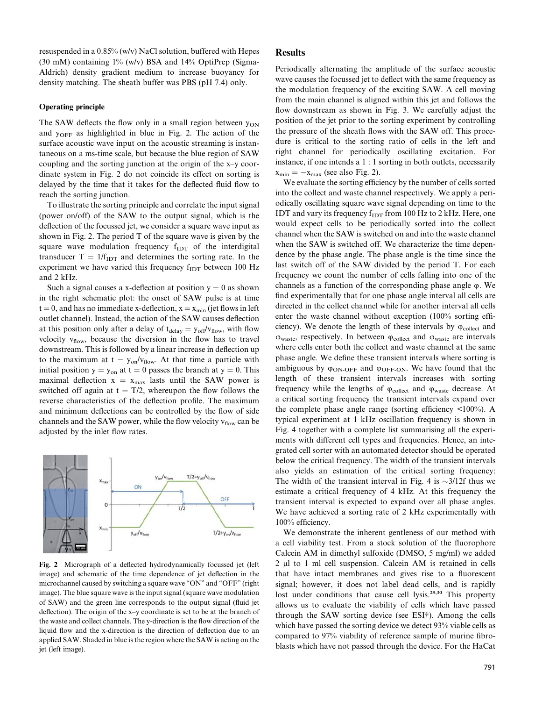resuspended in a 0.85% (w/v) NaCl solution, buffered with Hepes (30 mM) containing  $1\%$  (w/v) BSA and  $14\%$  OptiPrep (Sigma-Aldrich) density gradient medium to increase buoyancy for density matching. The sheath buffer was PBS (pH 7.4) only.

#### Operating principle

The SAW deflects the flow only in a small region between  $y_{ON}$ and  $y_{OFF}$  as highlighted in blue in Fig. 2. The action of the surface acoustic wave input on the acoustic streaming is instantaneous on a ms-time scale, but because the blue region of SAW coupling and the sorting junction at the origin of the x–y coordinate system in Fig. 2 do not coincide its effect on sorting is delayed by the time that it takes for the deflected fluid flow to reach the sorting junction.

To illustrate the sorting principle and correlate the input signal (power on/off) of the SAW to the output signal, which is the deflection of the focussed jet, we consider a square wave input as shown in Fig. 2. The period T of the square wave is given by the square wave modulation frequency  $f_{IDT}$  of the interdigital transducer  $T = 1/f_{\text{IDT}}$  and determines the sorting rate. In the experiment we have varied this frequency f<sub>IDT</sub> between 100 Hz and 2 kHz.

Such a signal causes a x-deflection at position  $y = 0$  as shown in the right schematic plot: the onset of SAW pulse is at time  $t = 0$ , and has no immediate x-deflection,  $x = x_{min}$  (jet flows in left outlet channel). Instead, the action of the SAW causes deflection at this position only after a delay of  $t_{delay} = y_{off}/v_{flow}$ , with flow velocity  $v_{flow}$ , because the diversion in the flow has to travel downstream. This is followed by a linear increase in deflection up to the maximum at  $t = y_{on}/v_{flow}$ . At that time a particle with initial position  $y = y_{on}$  at  $t = 0$  passes the branch at  $y = 0$ . This maximal deflection  $x = x_{max}$  lasts until the SAW power is switched off again at  $t = T/2$ , whereupon the flow follows the reverse characteristics of the deflection profile. The maximum and minimum deflections can be controlled by the flow of side channels and the SAW power, while the flow velocity  $v_{flow}$  can be adjusted by the inlet flow rates.



Fig. 2 Micrograph of a deflected hydrodynamically focussed jet (left image) and schematic of the time dependence of jet deflection in the microchannel caused by switching a square wave "ON" and "OFF" (right image). The blue square wave is the input signal (square wave modulation of SAW) and the green line corresponds to the output signal (fluid jet deflection). The origin of the x–y coordinate is set to be at the branch of the waste and collect channels. The y-direction is the flow direction of the liquid flow and the x-direction is the direction of deflection due to an applied SAW. Shaded in blue is the region where the SAW is acting on the jet (left image).

## Results

Periodically alternating the amplitude of the surface acoustic wave causes the focussed jet to deflect with the same frequency as the modulation frequency of the exciting SAW. A cell moving from the main channel is aligned within this jet and follows the flow downstream as shown in Fig. 3. We carefully adjust the position of the jet prior to the sorting experiment by controlling the pressure of the sheath flows with the SAW off. This procedure is critical to the sorting ratio of cells in the left and right channel for periodically oscillating excitation. For instance, if one intends a 1 : 1 sorting in both outlets, necessarily  $x_{\min} = -x_{\max}$  (see also Fig. 2).

We evaluate the sorting efficiency by the number of cells sorted into the collect and waste channel respectively. We apply a periodically oscillating square wave signal depending on time to the IDT and vary its frequency  $f_{IDT}$  from 100 Hz to 2 kHz. Here, one would expect cells to be periodically sorted into the collect channel when the SAW is switched on and into the waste channel when the SAW is switched off. We characterize the time dependence by the phase angle. The phase angle is the time since the last switch off of the SAW divided by the period T. For each frequency we count the number of cells falling into one of the channels as a function of the corresponding phase angle  $\varphi$ . We find experimentally that for one phase angle interval all cells are directed in the collect channel while for another interval all cells enter the waste channel without exception (100% sorting efficiency). We denote the length of these intervals by  $\varphi_{\text{collect}}$  and  $\varphi_{\text{waste}}$ , respectively. In between  $\varphi_{\text{collect}}$  and  $\varphi_{\text{waste}}$  are intervals where cells enter both the collect and waste channel at the same phase angle. We define these transient intervals where sorting is ambiguous by  $\varphi_{ON-OFF}$  and  $\varphi_{OFF-ON}$ . We have found that the length of these transient intervals increases with sorting frequency while the lengths of  $\varphi_{\text{collect}}$  and  $\varphi_{\text{waste}}$  decrease. At a critical sorting frequency the transient intervals expand over the complete phase angle range (sorting efficiency <100%). A typical experiment at 1 kHz oscillation frequency is shown in Fig. 4 together with a complete list summarising all the experiments with different cell types and frequencies. Hence, an integrated cell sorter with an automated detector should be operated below the critical frequency. The width of the transient intervals also yields an estimation of the critical sorting frequency: The width of the transient interval in Fig. 4 is  $\sim$ 3/12f thus we estimate a critical frequency of 4 kHz. At this frequency the transient interval is expected to expand over all phase angles. We have achieved a sorting rate of 2 kHz experimentally with 100% efficiency.

We demonstrate the inherent gentleness of our method with a cell viability test. From a stock solution of the fluorophore Calcein AM in dimethyl sulfoxide (DMSO, 5 mg/ml) we added 2 µl to 1 ml cell suspension. Calcein AM is retained in cells that have intact membranes and gives rise to a fluorescent signal; however, it does not label dead cells, and is rapidly lost under conditions that cause cell lysis. 29,30 This property allows us to evaluate the viability of cells which have passed through the SAW sorting device (see ESI†). Among the cells which have passed the sorting device we detect 93% viable cells as compared to 97% viability of reference sample of murine fibroblasts which have not passed through the device. For the HaCat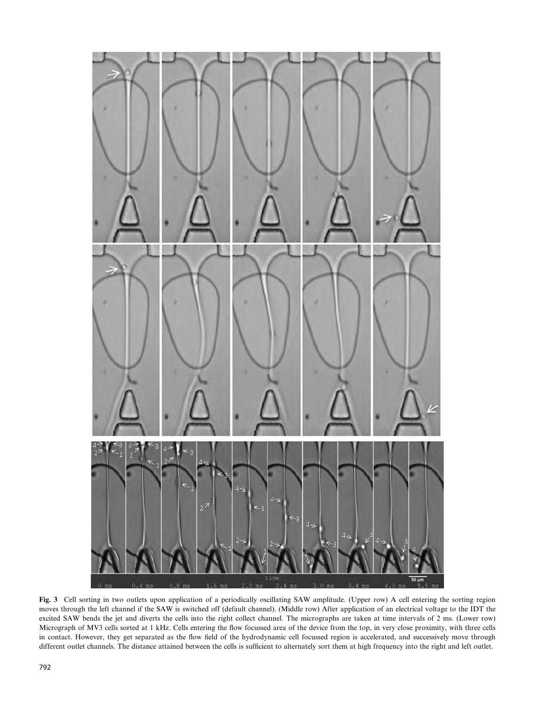

Fig. 3 Cell sorting in two outlets upon application of a periodically oscillating SAW amplitude. (Upper row) A cell entering the sorting region moves through the left channel if the SAW is switched off (default channel). (Middle row) After application of an electrical voltage to the IDT the excited SAW bends the jet and diverts the cells into the right collect channel. The micrographs are taken at time intervals of 2 ms. (Lower row) Micrograph of MV3 cells sorted at 1 kHz. Cells entering the flow focussed area of the device from the top, in very close proximity, with three cells in contact. However, they get separated as the flow field of the hydrodynamic cell focussed region is accelerated, and successively move through different outlet channels. The distance attained between the cells is sufficient to alternately sort them at high frequency into the right and left outlet.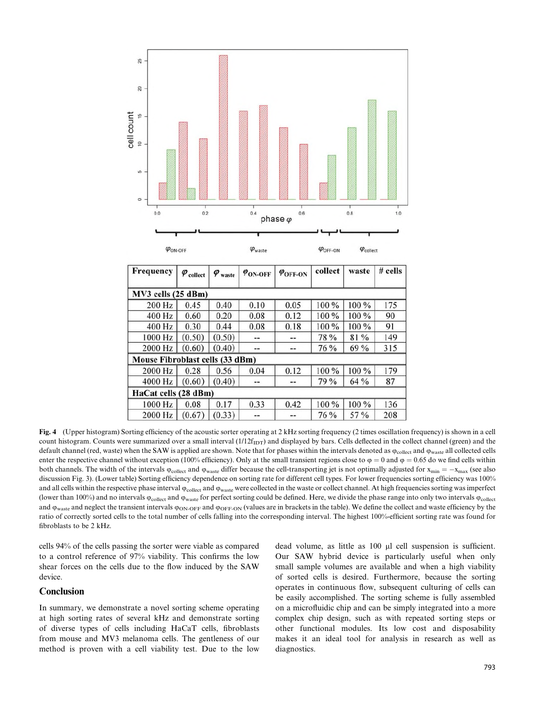

1000 Hz  $(0.50)$ 78 % 81 % 149  $(0.50)$  $\rightarrow$  $\rightarrow$ 315 2000 Hz  $(0.60)$  $(0.40)$ 76 % 69 % --Ξ. Mouse Fibroblast cells (33 dBm) 2000 Hz 100 % 100 % 179 0.28 0.56 0.04  $0.12$ 79 % 4000 Hz  $(0.60)$  $(0.40)$ 64 % 87 HaCat cells (28 dBm) 1000 Hz 0.08 0.17 0.33  $0.42$ 100 % 100 % 136 2000 Hz  $(0.33)$ 76 % 57 % 208  $(0.67)$ 

Fig. 4 (Upper histogram) Sorting efficiency of the acoustic sorter operating at 2 kHz sorting frequency (2 times oscillation frequency) is shown in a cell count histogram. Counts were summarized over a small interval  $(1/12f<sub>IDT</sub>)$  and displayed by bars. Cells deflected in the collect channel (green) and the default channel (red, waste) when the SAW is applied are shown. Note that for phases within the intervals denoted as  $\varphi_{\text{collect}}$  and  $\varphi_{\text{waste}}$  all collected cells enter the respective channel without exception (100% efficiency). Only at the small transient regions close to  $\varphi = 0$  and  $\varphi = 0.65$  do we find cells within both channels. The width of the intervals  $\varphi_{\text{collect}}$  and  $\varphi_{\text{waste}}$  differ because the cell-transporting jet is not optimally adjusted for  $x_{\text{min}} = -x_{\text{max}}$  (see also discussion Fig. 3). (Lower table) Sorting efficiency dependence on sorting rate for different cell types. For lower frequencies sorting efficiency was 100% and all cells within the respective phase interval  $\varphi_{\text{collect}}$  and  $\varphi_{\text{waste}}$  were collected in the waste or collect channel. At high frequencies sorting was imperfect (lower than 100%) and no intervals  $\phi_{\rm collect}$  and  $\phi_{\rm waste}$  for perfect sorting could be defined. Here, we divide the phase range into only two intervals  $\phi_{\rm collect}$ and  $\varphi_{\text{waste}}$  and neglect the transient intervals  $\varphi_{\text{ON-OFF}}$  and  $\varphi_{\text{OFF-ON}}$  (values are in brackets in the table). We define the collect and waste efficiency by the ratio of correctly sorted cells to the total number of cells falling into the corresponding interval. The highest 100%-efficient sorting rate was found for fibroblasts to be 2 kHz.

cells 94% of the cells passing the sorter were viable as compared to a control reference of 97% viability. This confirms the low shear forces on the cells due to the flow induced by the SAW device.

## **Conclusion**

In summary, we demonstrate a novel sorting scheme operating at high sorting rates of several kHz and demonstrate sorting of diverse types of cells including HaCaT cells, fibroblasts from mouse and MV3 melanoma cells. The gentleness of our method is proven with a cell viability test. Due to the low

dead volume, as little as 100 µl cell suspension is sufficient. Our SAW hybrid device is particularly useful when only small sample volumes are available and when a high viability of sorted cells is desired. Furthermore, because the sorting operates in continuous flow, subsequent culturing of cells can be easily accomplished. The sorting scheme is fully assembled on a microfluidic chip and can be simply integrated into a more complex chip design, such as with repeated sorting steps or other functional modules. Its low cost and disposability makes it an ideal tool for analysis in research as well as diagnostics.